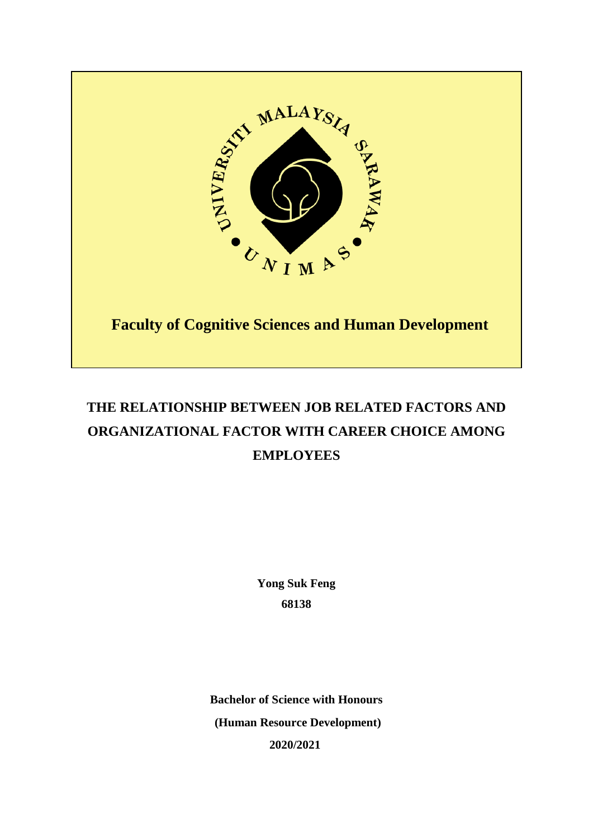

# **THE RELATIONSHIP BETWEEN JOB RELATED FACTORS AND ORGANIZATIONAL FACTOR WITH CAREER CHOICE AMONG EMPLOYEES**

**Yong Suk Feng 68138**

**Bachelor of Science with Honours (Human Resource Development) 2020/2021**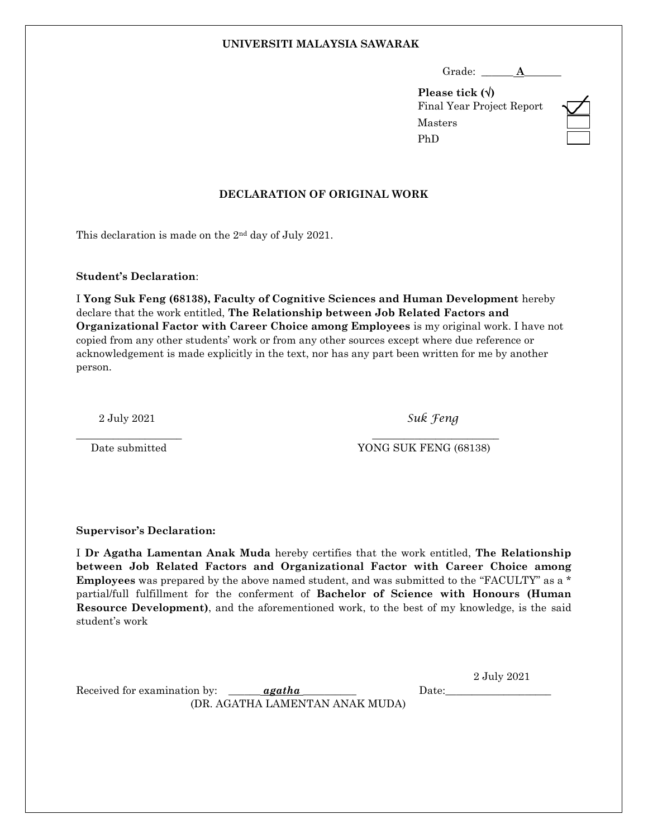#### **UNIVERSITI MALAYSIA SAWARAK**

**Please tick ()** Final Year Project Report Masters PhD

### **DECLARATION OF ORIGINAL WORK**

This declaration is made on the 2nd day of July 2021.

#### **Student's Declaration**:

I **Yong Suk Feng (68138), Faculty of Cognitive Sciences and Human Development** hereby declare that the work entitled, **The Relationship between Job Related Factors and Organizational Factor with Career Choice among Employees** is my original work. I have not copied from any other students' work or from any other sources except where due reference or acknowledgement is made explicitly in the text, nor has any part been written for me by another person.

2 July 2021 *Suk Feng*

\_\_\_\_\_\_\_\_\_\_\_\_\_\_\_\_\_\_\_\_ \_\_\_\_\_\_\_\_\_\_\_\_\_\_\_\_\_\_\_\_\_\_\_\_

Date submitted YONG SUK FENG (68138)

**Supervisor's Declaration:**

I **Dr Agatha Lamentan Anak Muda** hereby certifies that the work entitled, **The Relationship between Job Related Factors and Organizational Factor with Career Choice among Employees** was prepared by the above named student, and was submitted to the "FACULTY" as a \* partial/full fulfillment for the conferment of **Bachelor of Science with Honours (Human Resource Development)**, and the aforementioned work, to the best of my knowledge, is the said student's work

2 July 2021

Received for examination by:  *Date:* (DR. AGATHA LAMENTAN ANAK MUDA)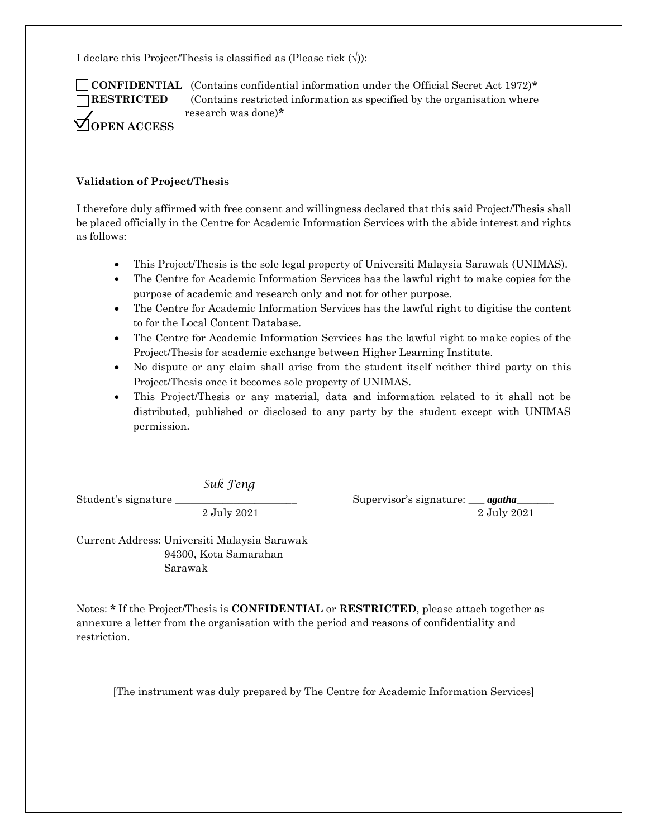I declare this Project/Thesis is classified as (Please tick  $(\forall)$ ):



 **CONFIDENTIAL** (Contains confidential information under the Official Secret Act 1972)**\* RESTRICTED** (Contains restricted information as specified by the organisation where research was done)**\***

#### **Validation of Project/Thesis**

I therefore duly affirmed with free consent and willingness declared that this said Project/Thesis shall be placed officially in the Centre for Academic Information Services with the abide interest and rights as follows:

- This Project/Thesis is the sole legal property of Universiti Malaysia Sarawak (UNIMAS).
- The Centre for Academic Information Services has the lawful right to make copies for the purpose of academic and research only and not for other purpose.
- The Centre for Academic Information Services has the lawful right to digitise the content to for the Local Content Database.
- The Centre for Academic Information Services has the lawful right to make copies of the Project/Thesis for academic exchange between Higher Learning Institute.
- No dispute or any claim shall arise from the student itself neither third party on this Project/Thesis once it becomes sole property of UNIMAS.
- This Project/Thesis or any material, data and information related to it shall not be distributed, published or disclosed to any party by the student except with UNIMAS permission.

*Suk Feng*

Student's signature \_\_\_\_\_\_\_\_\_\_\_\_\_\_\_\_\_\_\_\_\_\_\_ Supervisor's signature: \_\_\_ *agatha*\_\_\_\_\_\_\_ 2 July 2021 2 July 2021

Current Address: Universiti Malaysia Sarawak 94300, Kota Samarahan Sarawak

Notes: **\*** If the Project/Thesis is **CONFIDENTIAL** or **RESTRICTED**, please attach together as annexure a letter from the organisation with the period and reasons of confidentiality and restriction.

[The instrument was duly prepared by The Centre for Academic Information Services]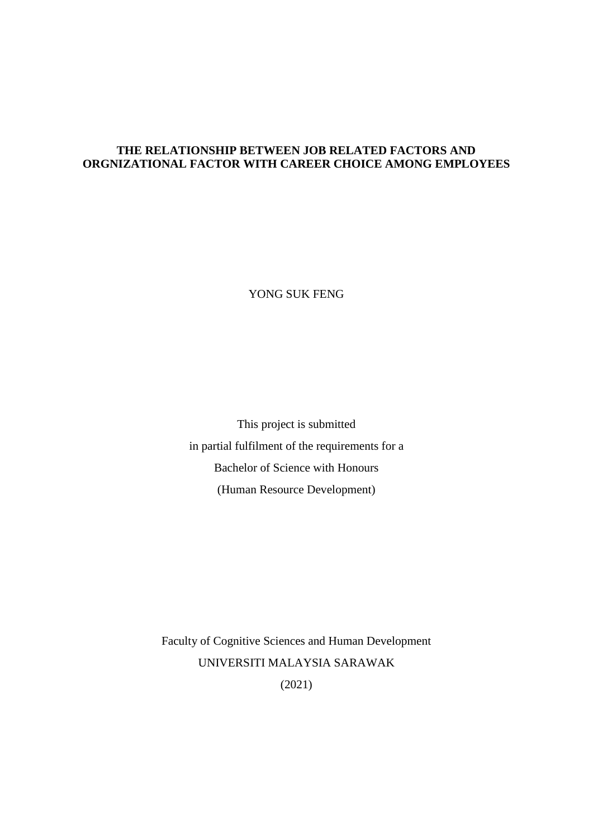# **THE RELATIONSHIP BETWEEN JOB RELATED FACTORS AND ORGNIZATIONAL FACTOR WITH CAREER CHOICE AMONG EMPLOYEES**

YONG SUK FENG

This project is submitted in partial fulfilment of the requirements for a Bachelor of Science with Honours (Human Resource Development)

Faculty of Cognitive Sciences and Human Development UNIVERSITI MALAYSIA SARAWAK (2021)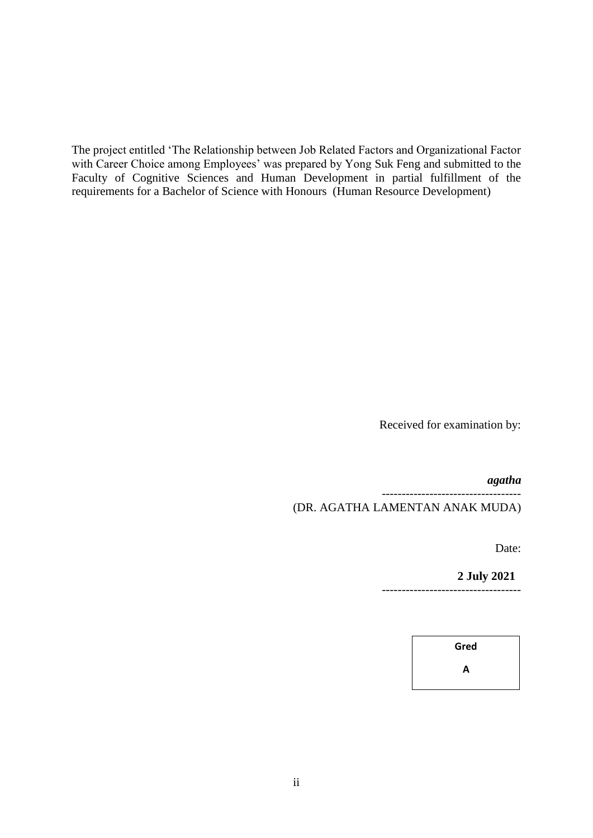The project entitled 'The Relationship between Job Related Factors and Organizational Factor with Career Choice among Employees' was prepared by Yong Suk Feng and submitted to the Faculty of Cognitive Sciences and Human Development in partial fulfillment of the requirements for a Bachelor of Science with Honours (Human Resource Development)

Received for examination by:

*agatha*

----------------------------------- (DR. AGATHA LAMENTAN ANAK MUDA)

Date:

**2 July 2021** -----------------------------------

**Gred**

**A**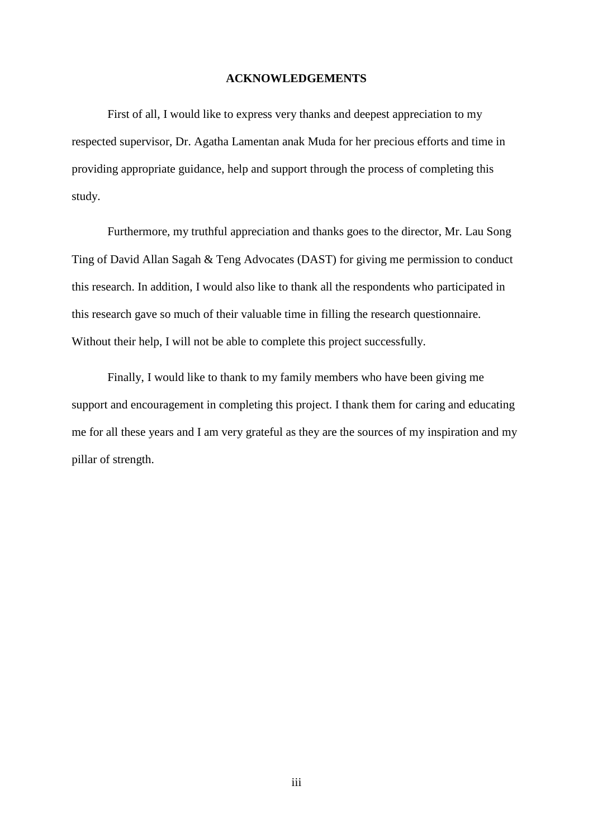#### **ACKNOWLEDGEMENTS**

First of all, I would like to express very thanks and deepest appreciation to my respected supervisor, Dr. Agatha Lamentan anak Muda for her precious efforts and time in providing appropriate guidance, help and support through the process of completing this study.

Furthermore, my truthful appreciation and thanks goes to the director, Mr. Lau Song Ting of David Allan Sagah & Teng Advocates (DAST) for giving me permission to conduct this research. In addition, I would also like to thank all the respondents who participated in this research gave so much of their valuable time in filling the research questionnaire. Without their help, I will not be able to complete this project successfully.

Finally, I would like to thank to my family members who have been giving me support and encouragement in completing this project. I thank them for caring and educating me for all these years and I am very grateful as they are the sources of my inspiration and my pillar of strength.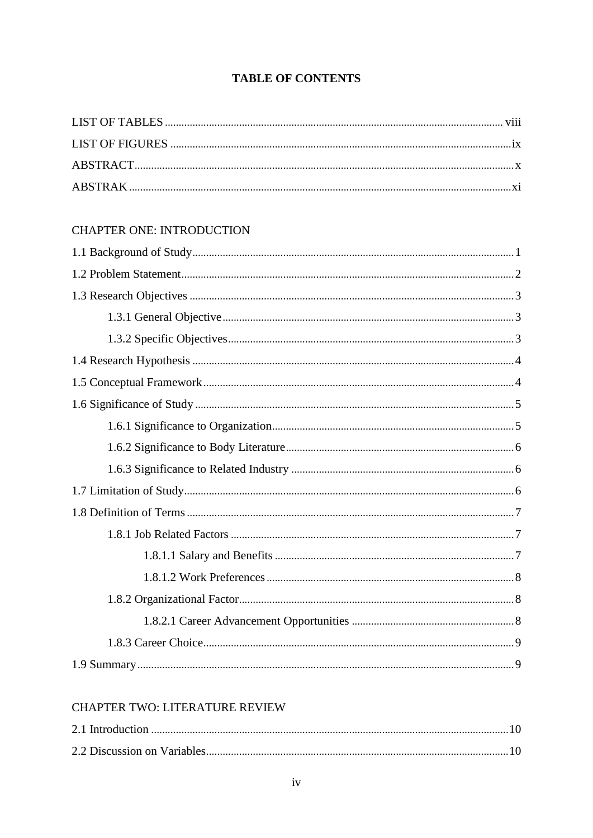# **TABLE OF CONTENTS**

# **CHAPTER ONE: INTRODUCTION**

## CHAPTER TWO: LITERATURE REVIEW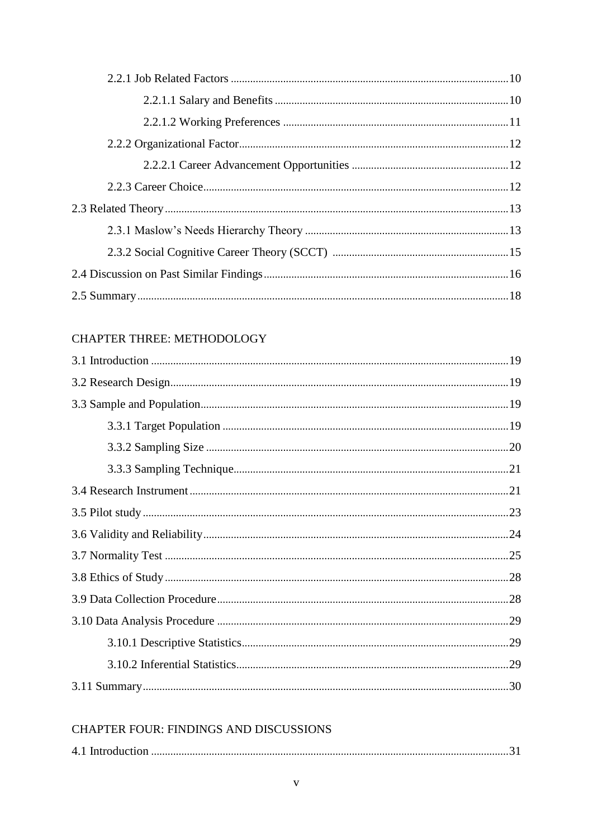# CHAPTER THREE: METHODOLOGY

# **CHAPTER FOUR: FINDINGS AND DISCUSSIONS**

|--|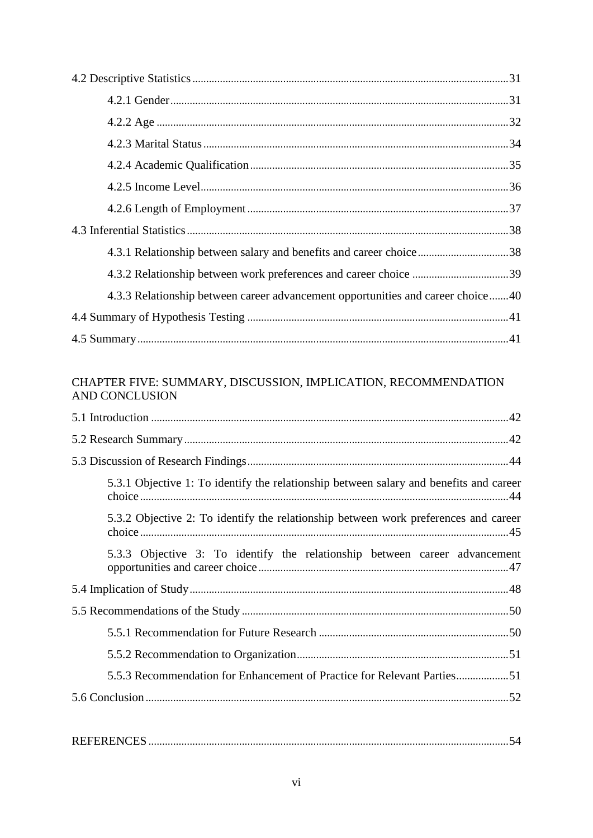| 4.3.1 Relationship between salary and benefits and career choice38              |  |
|---------------------------------------------------------------------------------|--|
|                                                                                 |  |
| 4.3.3 Relationship between career advancement opportunities and career choice40 |  |
|                                                                                 |  |
|                                                                                 |  |

# CHAPTER FIVE: SUMMARY, DISCUSSION, IMPLICATION, RECOMMENDATION AND CONCLUSION

| 5.3.1 Objective 1: To identify the relationship between salary and benefits and career |
|----------------------------------------------------------------------------------------|
| 5.3.2 Objective 2: To identify the relationship between work preferences and career    |
| 5.3.3 Objective 3: To identify the relationship between career advancement             |
|                                                                                        |
|                                                                                        |
|                                                                                        |
|                                                                                        |
| 5.5.3 Recommendation for Enhancement of Practice for Relevant Parties51                |
|                                                                                        |
|                                                                                        |
|                                                                                        |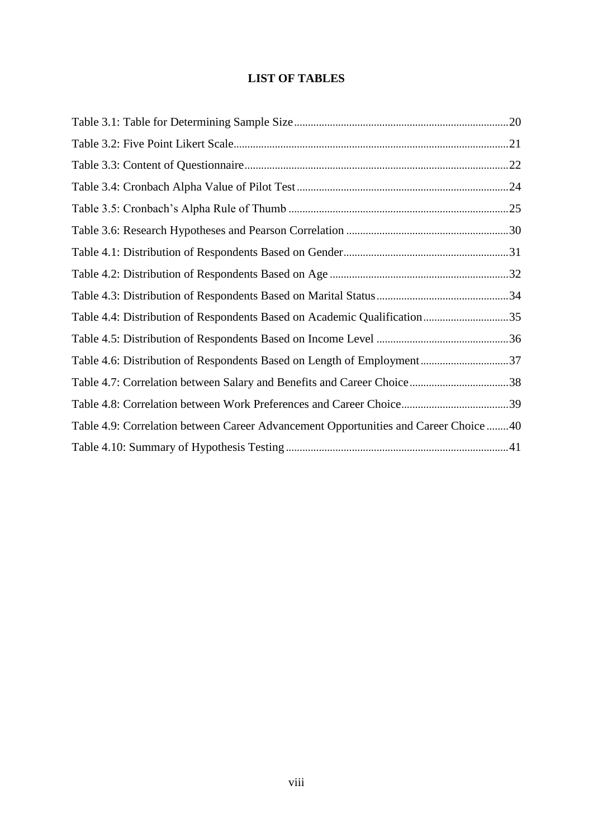# **LIST OF TABLES**

| Table 4.4: Distribution of Respondents Based on Academic Qualification35             |  |
|--------------------------------------------------------------------------------------|--|
|                                                                                      |  |
|                                                                                      |  |
|                                                                                      |  |
|                                                                                      |  |
| Table 4.9: Correlation between Career Advancement Opportunities and Career Choice 40 |  |
|                                                                                      |  |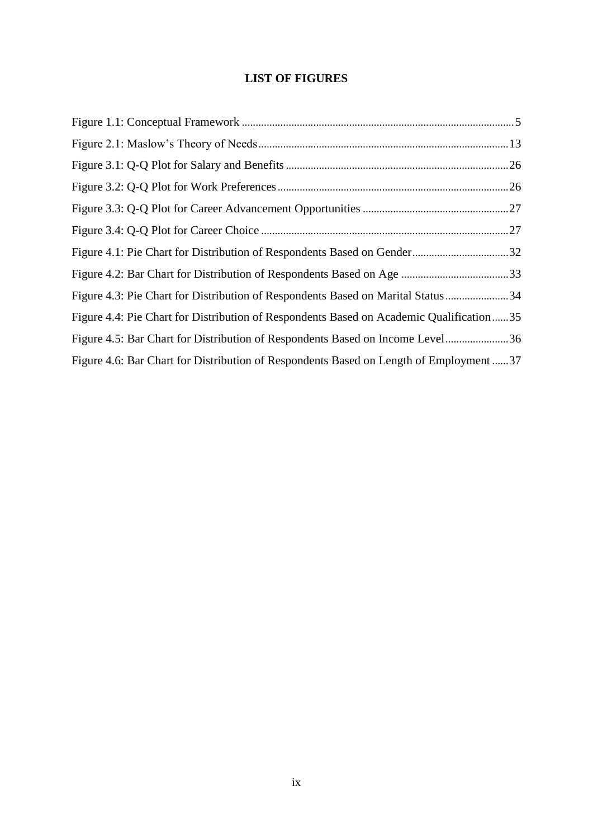# **LIST OF FIGURES**

| Figure 4.3: Pie Chart for Distribution of Respondents Based on Marital Status34         |  |
|-----------------------------------------------------------------------------------------|--|
| Figure 4.4: Pie Chart for Distribution of Respondents Based on Academic Qualification35 |  |
| Figure 4.5: Bar Chart for Distribution of Respondents Based on Income Level36           |  |
| Figure 4.6: Bar Chart for Distribution of Respondents Based on Length of Employment37   |  |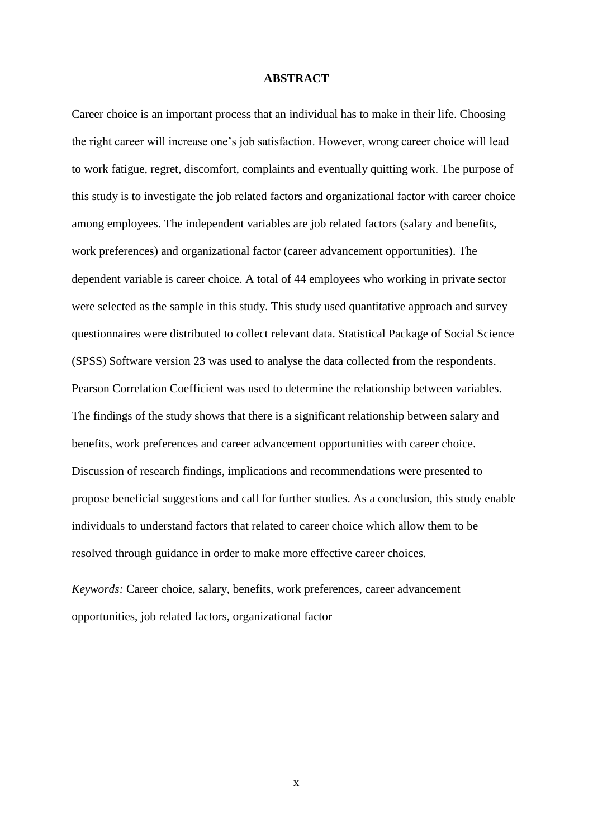#### **ABSTRACT**

Career choice is an important process that an individual has to make in their life. Choosing the right career will increase one's job satisfaction. However, wrong career choice will lead to work fatigue, regret, discomfort, complaints and eventually quitting work. The purpose of this study is to investigate the job related factors and organizational factor with career choice among employees. The independent variables are job related factors (salary and benefits, work preferences) and organizational factor (career advancement opportunities). The dependent variable is career choice. A total of 44 employees who working in private sector were selected as the sample in this study. This study used quantitative approach and survey questionnaires were distributed to collect relevant data. Statistical Package of Social Science (SPSS) Software version 23 was used to analyse the data collected from the respondents. Pearson Correlation Coefficient was used to determine the relationship between variables. The findings of the study shows that there is a significant relationship between salary and benefits, work preferences and career advancement opportunities with career choice. Discussion of research findings, implications and recommendations were presented to propose beneficial suggestions and call for further studies. As a conclusion, this study enable individuals to understand factors that related to career choice which allow them to be resolved through guidance in order to make more effective career choices.

*Keywords:* Career choice, salary, benefits, work preferences, career advancement opportunities, job related factors, organizational factor

x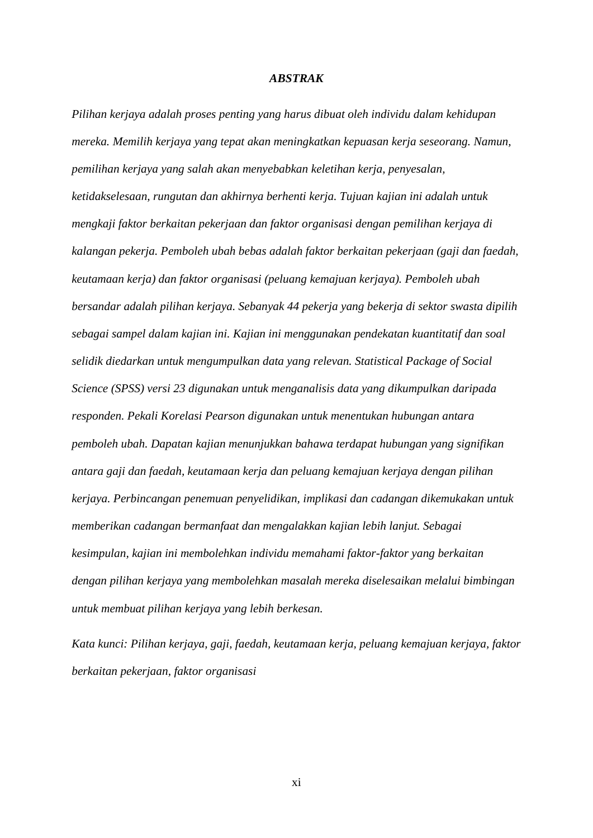#### *ABSTRAK*

*Pilihan kerjaya adalah proses penting yang harus dibuat oleh individu dalam kehidupan mereka. Memilih kerjaya yang tepat akan meningkatkan kepuasan kerja seseorang. Namun, pemilihan kerjaya yang salah akan menyebabkan keletihan kerja, penyesalan, ketidakselesaan, rungutan dan akhirnya berhenti kerja. Tujuan kajian ini adalah untuk mengkaji faktor berkaitan pekerjaan dan faktor organisasi dengan pemilihan kerjaya di kalangan pekerja. Pemboleh ubah bebas adalah faktor berkaitan pekerjaan (gaji dan faedah, keutamaan kerja) dan faktor organisasi (peluang kemajuan kerjaya). Pemboleh ubah bersandar adalah pilihan kerjaya. Sebanyak 44 pekerja yang bekerja di sektor swasta dipilih sebagai sampel dalam kajian ini. Kajian ini menggunakan pendekatan kuantitatif dan soal selidik diedarkan untuk mengumpulkan data yang relevan. Statistical Package of Social Science (SPSS) versi 23 digunakan untuk menganalisis data yang dikumpulkan daripada responden. Pekali Korelasi Pearson digunakan untuk menentukan hubungan antara pemboleh ubah. Dapatan kajian menunjukkan bahawa terdapat hubungan yang signifikan antara gaji dan faedah, keutamaan kerja dan peluang kemajuan kerjaya dengan pilihan kerjaya. Perbincangan penemuan penyelidikan, implikasi dan cadangan dikemukakan untuk memberikan cadangan bermanfaat dan mengalakkan kajian lebih lanjut. Sebagai kesimpulan, kajian ini membolehkan individu memahami faktor-faktor yang berkaitan dengan pilihan kerjaya yang membolehkan masalah mereka diselesaikan melalui bimbingan untuk membuat pilihan kerjaya yang lebih berkesan.* 

*Kata kunci: Pilihan kerjaya, gaji, faedah, keutamaan kerja, peluang kemajuan kerjaya, faktor berkaitan pekerjaan, faktor organisasi*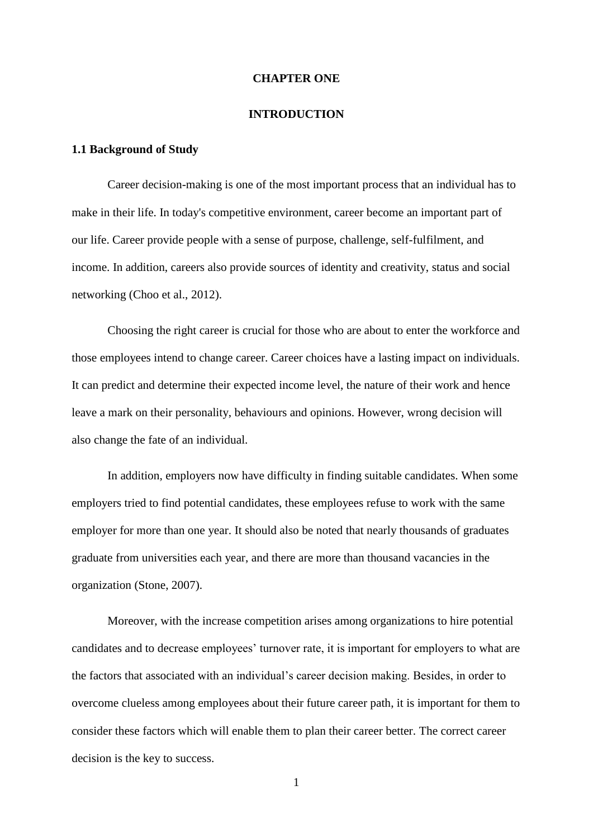#### **CHAPTER ONE**

#### **INTRODUCTION**

#### **1.1 Background of Study**

Career decision-making is one of the most important process that an individual has to make in their life. In today's competitive environment, career become an important part of our life. Career provide people with a sense of purpose, challenge, self-fulfilment, and income. In addition, careers also provide sources of identity and creativity, status and social networking (Choo et al., 2012).

Choosing the right career is crucial for those who are about to enter the workforce and those employees intend to change career. Career choices have a lasting impact on individuals. It can predict and determine their expected income level, the nature of their work and hence leave a mark on their personality, behaviours and opinions. However, wrong decision will also change the fate of an individual.

In addition, employers now have difficulty in finding suitable candidates. When some employers tried to find potential candidates, these employees refuse to work with the same employer for more than one year. It should also be noted that nearly thousands of graduates graduate from universities each year, and there are more than thousand vacancies in the organization (Stone, 2007).

Moreover, with the increase competition arises among organizations to hire potential candidates and to decrease employees' turnover rate, it is important for employers to what are the factors that associated with an individual's career decision making. Besides, in order to overcome clueless among employees about their future career path, it is important for them to consider these factors which will enable them to plan their career better. The correct career decision is the key to success.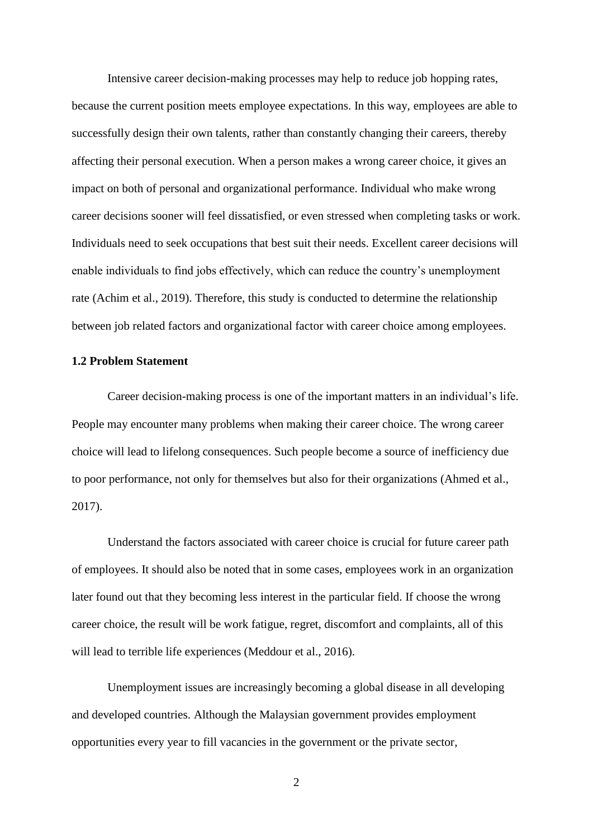Intensive career decision-making processes may help to reduce job hopping rates, because the current position meets employee expectations. In this way, employees are able to successfully design their own talents, rather than constantly changing their careers, thereby affecting their personal execution. When a person makes a wrong career choice, it gives an impact on both of personal and organizational performance. Individual who make wrong career decisions sooner will feel dissatisfied, or even stressed when completing tasks or work. Individuals need to seek occupations that best suit their needs. Excellent career decisions will enable individuals to find jobs effectively, which can reduce the country's unemployment rate (Achim et al., 2019). Therefore, this study is conducted to determine the relationship between job related factors and organizational factor with career choice among employees.

#### **1.2 Problem Statement**

Career decision-making process is one of the important matters in an individual's life. People may encounter many problems when making their career choice. The wrong career choice will lead to lifelong consequences. Such people become a source of inefficiency due to poor performance, not only for themselves but also for their organizations (Ahmed et al., 2017).

Understand the factors associated with career choice is crucial for future career path of employees. It should also be noted that in some cases, employees work in an organization later found out that they becoming less interest in the particular field. If choose the wrong career choice, the result will be work fatigue, regret, discomfort and complaints, all of this will lead to terrible life experiences (Meddour et al., 2016).

Unemployment issues are increasingly becoming a global disease in all developing and developed countries. Although the Malaysian government provides employment opportunities every year to fill vacancies in the government or the private sector,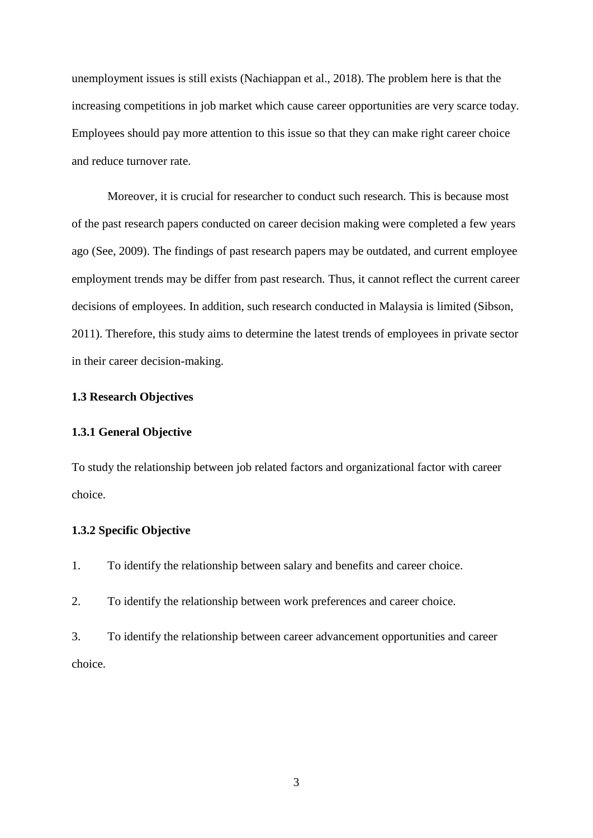unemployment issues is still exists (Nachiappan et al., 2018). The problem here is that the increasing competitions in job market which cause career opportunities are very scarce today. Employees should pay more attention to this issue so that they can make right career choice and reduce turnover rate.

Moreover, it is crucial for researcher to conduct such research. This is because most of the past research papers conducted on career decision making were completed a few years ago (See, 2009). The findings of past research papers may be outdated, and current employee employment trends may be differ from past research. Thus, it cannot reflect the current career decisions of employees. In addition, such research conducted in Malaysia is limited (Sibson, 2011). Therefore, this study aims to determine the latest trends of employees in private sector in their career decision-making.

#### **1.3 Research Objectives**

#### **1.3.1 General Objective**

To study the relationship between job related factors and organizational factor with career choice.

### **1.3.2 Specific Objective**

1. To identify the relationship between salary and benefits and career choice.

2. To identify the relationship between work preferences and career choice.

3. To identify the relationship between career advancement opportunities and career choice.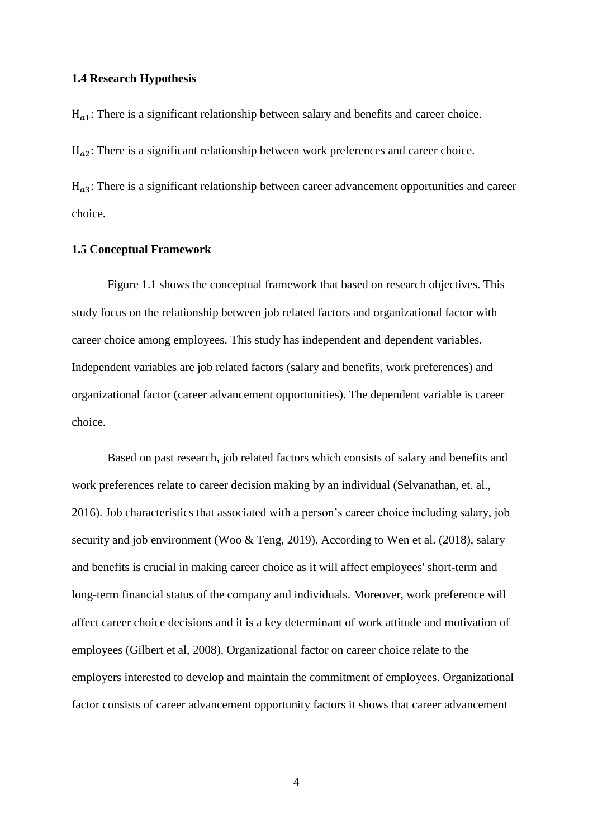#### **1.4 Research Hypothesis**

 $H_{a1}$ : There is a significant relationship between salary and benefits and career choice.

 $H_{a2}$ : There is a significant relationship between work preferences and career choice.

 $H_{a3}$ : There is a significant relationship between career advancement opportunities and career choice.

#### **1.5 Conceptual Framework**

Figure 1.1 shows the conceptual framework that based on research objectives. This study focus on the relationship between job related factors and organizational factor with career choice among employees. This study has independent and dependent variables. Independent variables are job related factors (salary and benefits, work preferences) and organizational factor (career advancement opportunities). The dependent variable is career choice.

Based on past research, job related factors which consists of salary and benefits and work preferences relate to career decision making by an individual (Selvanathan, et. al., 2016). Job characteristics that associated with a person's career choice including salary, job security and job environment (Woo & Teng, 2019). According to Wen et al. (2018), salary and benefits is crucial in making career choice as it will affect employees' short-term and long-term financial status of the company and individuals. Moreover, work preference will affect career choice decisions and it is a key determinant of work attitude and motivation of employees (Gilbert et al, 2008). Organizational factor on career choice relate to the employers interested to develop and maintain the commitment of employees. Organizational factor consists of career advancement opportunity factors it shows that career advancement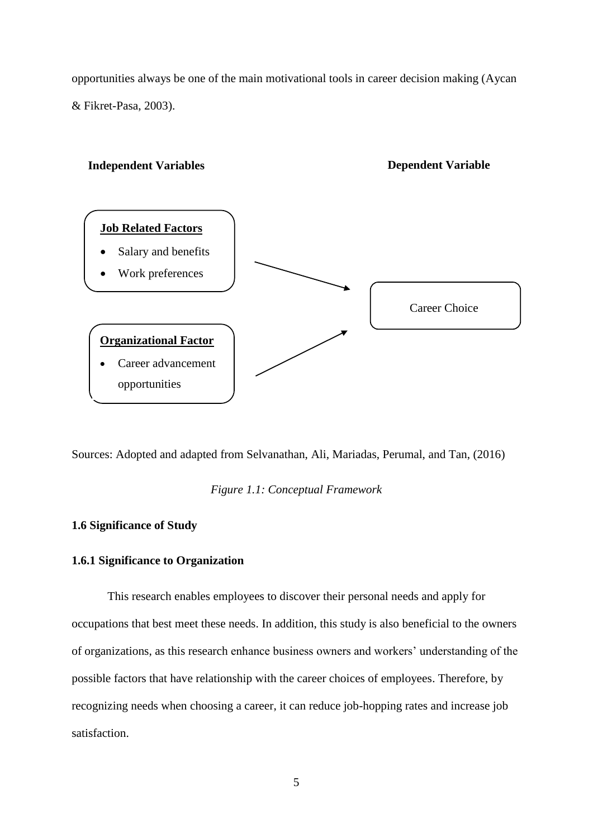opportunities always be one of the main motivational tools in career decision making (Aycan & Fikret-Pasa, 2003).



Sources: Adopted and adapted from Selvanathan, Ali, Mariadas, Perumal, and Tan, (2016)

*Figure 1.1: Conceptual Framework*

#### **1.6 Significance of Study**

### **1.6.1 Significance to Organization**

This research enables employees to discover their personal needs and apply for occupations that best meet these needs. In addition, this study is also beneficial to the owners of organizations, as this research enhance business owners and workers' understanding of the possible factors that have relationship with the career choices of employees. Therefore, by recognizing needs when choosing a career, it can reduce job-hopping rates and increase job satisfaction.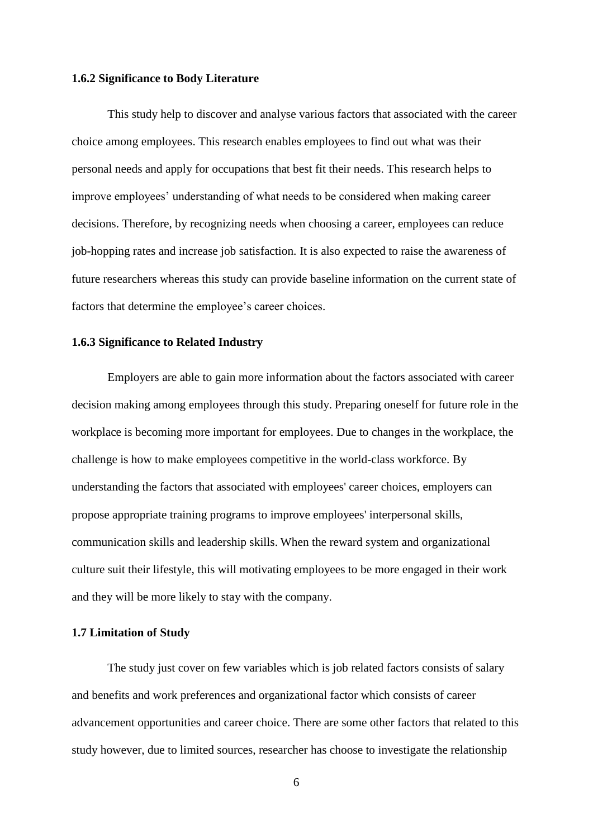#### **1.6.2 Significance to Body Literature**

This study help to discover and analyse various factors that associated with the career choice among employees. This research enables employees to find out what was their personal needs and apply for occupations that best fit their needs. This research helps to improve employees' understanding of what needs to be considered when making career decisions. Therefore, by recognizing needs when choosing a career, employees can reduce job-hopping rates and increase job satisfaction. It is also expected to raise the awareness of future researchers whereas this study can provide baseline information on the current state of factors that determine the employee's career choices.

#### **1.6.3 Significance to Related Industry**

Employers are able to gain more information about the factors associated with career decision making among employees through this study. Preparing oneself for future role in the workplace is becoming more important for employees. Due to changes in the workplace, the challenge is how to make employees competitive in the world-class workforce. By understanding the factors that associated with employees' career choices, employers can propose appropriate training programs to improve employees' interpersonal skills, communication skills and leadership skills. When the reward system and organizational culture suit their lifestyle, this will motivating employees to be more engaged in their work and they will be more likely to stay with the company.

#### **1.7 Limitation of Study**

The study just cover on few variables which is job related factors consists of salary and benefits and work preferences and organizational factor which consists of career advancement opportunities and career choice. There are some other factors that related to this study however, due to limited sources, researcher has choose to investigate the relationship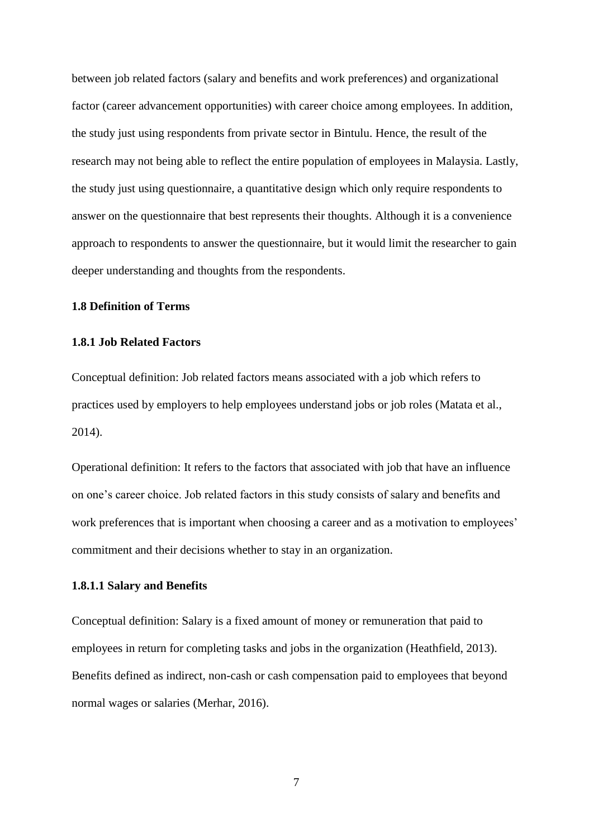between job related factors (salary and benefits and work preferences) and organizational factor (career advancement opportunities) with career choice among employees. In addition, the study just using respondents from private sector in Bintulu. Hence, the result of the research may not being able to reflect the entire population of employees in Malaysia. Lastly, the study just using questionnaire, a quantitative design which only require respondents to answer on the questionnaire that best represents their thoughts. Although it is a convenience approach to respondents to answer the questionnaire, but it would limit the researcher to gain deeper understanding and thoughts from the respondents.

#### **1.8 Definition of Terms**

#### **1.8.1 Job Related Factors**

Conceptual definition: Job related factors means associated with a job which refers to practices used by employers to help employees understand jobs or job roles (Matata et al., 2014).

Operational definition: It refers to the factors that associated with job that have an influence on one's career choice. Job related factors in this study consists of salary and benefits and work preferences that is important when choosing a career and as a motivation to employees' commitment and their decisions whether to stay in an organization.

#### **1.8.1.1 Salary and Benefits**

Conceptual definition: Salary is a fixed amount of money or remuneration that paid to employees in return for completing tasks and jobs in the organization (Heathfield, 2013). Benefits defined as indirect, non-cash or cash compensation paid to employees that beyond normal wages or salaries (Merhar, 2016).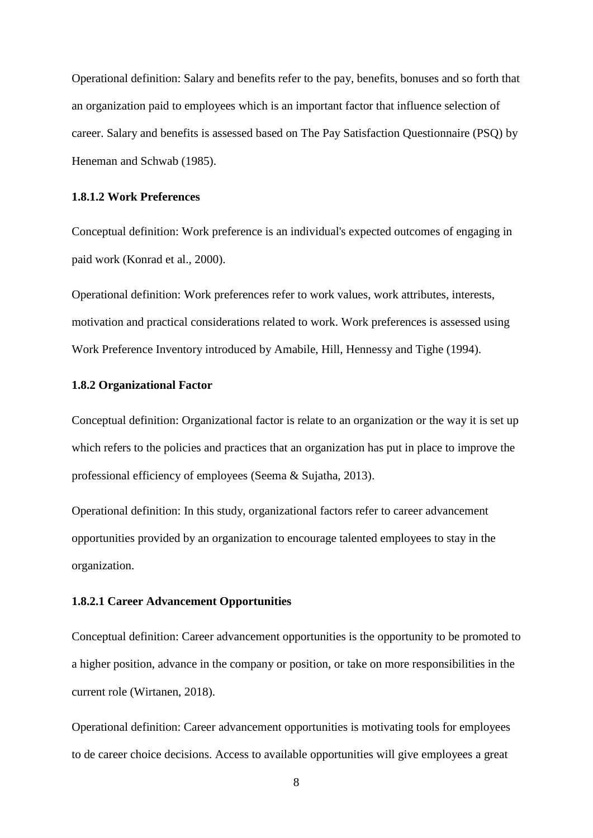Operational definition: Salary and benefits refer to the pay, benefits, bonuses and so forth that an organization paid to employees which is an important factor that influence selection of career. Salary and benefits is assessed based on The Pay Satisfaction Questionnaire (PSQ) by Heneman and Schwab (1985).

#### **1.8.1.2 Work Preferences**

Conceptual definition: Work preference is an individual's expected outcomes of engaging in paid work (Konrad et al., 2000).

Operational definition: Work preferences refer to work values, work attributes, interests, motivation and practical considerations related to work. Work preferences is assessed using Work Preference Inventory introduced by Amabile, Hill, Hennessy and Tighe (1994).

#### **1.8.2 Organizational Factor**

Conceptual definition: Organizational factor is relate to an organization or the way it is set up which refers to the policies and practices that an organization has put in place to improve the professional efficiency of employees (Seema & Sujatha, 2013).

Operational definition: In this study, organizational factors refer to career advancement opportunities provided by an organization to encourage talented employees to stay in the organization.

#### **1.8.2.1 Career Advancement Opportunities**

Conceptual definition: Career advancement opportunities is the opportunity to be promoted to a higher position, advance in the company or position, or take on more responsibilities in the current role (Wirtanen, 2018).

Operational definition: Career advancement opportunities is motivating tools for employees to de career choice decisions. Access to available opportunities will give employees a great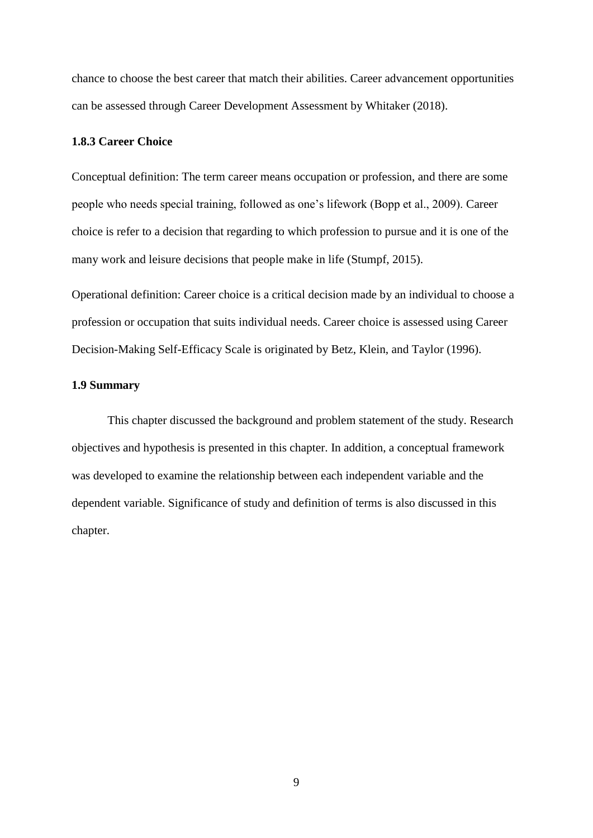chance to choose the best career that match their abilities. Career advancement opportunities can be assessed through Career Development Assessment by Whitaker (2018).

### **1.8.3 Career Choice**

Conceptual definition: The term career means occupation or profession, and there are some people who needs special training, followed as one's lifework (Bopp et al., 2009). Career choice is refer to a decision that regarding to which profession to pursue and it is one of the many work and leisure decisions that people make in life (Stumpf, 2015).

Operational definition: Career choice is a critical decision made by an individual to choose a profession or occupation that suits individual needs. Career choice is assessed using Career Decision-Making Self-Efficacy Scale is originated by Betz, Klein, and Taylor (1996).

#### **1.9 Summary**

This chapter discussed the background and problem statement of the study. Research objectives and hypothesis is presented in this chapter. In addition, a conceptual framework was developed to examine the relationship between each independent variable and the dependent variable. Significance of study and definition of terms is also discussed in this chapter.